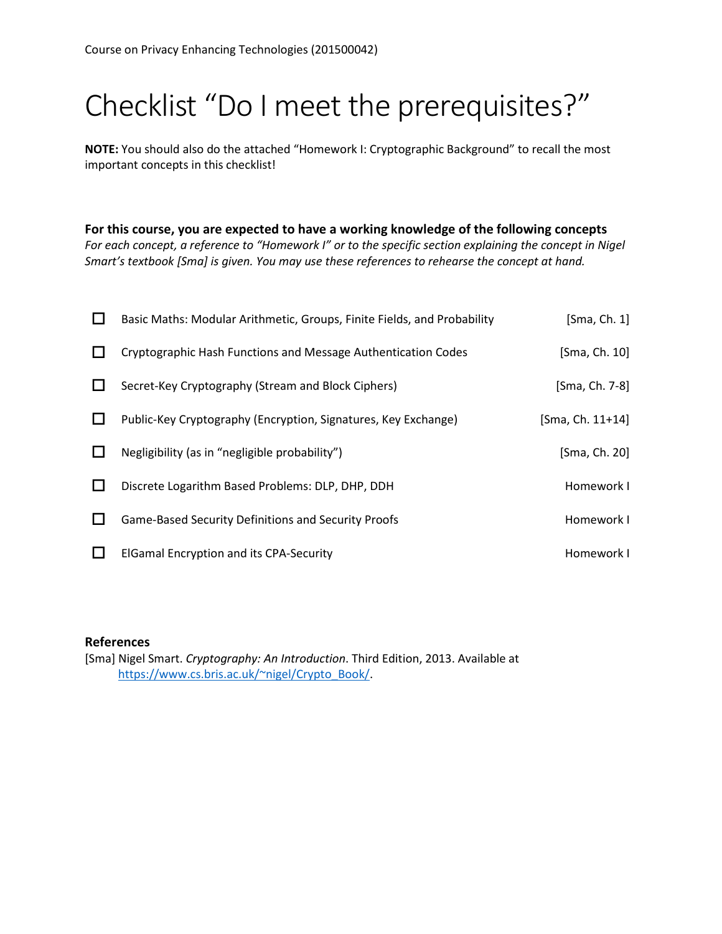# Checklist "Do I meet the prerequisites?"

**NOTE:** You should also do the attached "Homework I: Cryptographic Background" to recall the most important concepts in this checklist!

**For this course, you are expected to have a working knowledge of the following concepts** *For each concept, a reference to "Homework I" or to the specific section explaining the concept in Nigel Smart's textbook [Sma] is given. You may use these references to rehearse the concept at hand.*

| $\mathsf{L}$ | Basic Maths: Modular Arithmetic, Groups, Finite Fields, and Probability | [Sma, Ch. 1]     |
|--------------|-------------------------------------------------------------------------|------------------|
|              | Cryptographic Hash Functions and Message Authentication Codes           | [Sma, Ch. 10]    |
|              | Secret-Key Cryptography (Stream and Block Ciphers)                      | [Sma, Ch. 7-8]   |
|              | Public-Key Cryptography (Encryption, Signatures, Key Exchange)          | [Sma, Ch. 11+14] |
| $\mathbf{L}$ | Negligibility (as in "negligible probability")                          | [Sma, Ch. 20]    |
| $\mathbf{L}$ | Discrete Logarithm Based Problems: DLP, DHP, DDH                        | Homework I       |
| $\Box$       | Game-Based Security Definitions and Security Proofs                     | Homework I       |
| $\Box$       | <b>ElGamal Encryption and its CPA-Security</b>                          | Homework I       |

#### **References**

[Sma] Nigel Smart. *Cryptography: An Introduction*. Third Edition, 2013. Available at [https://www.cs.bris.ac.uk/~nigel/Crypto\\_Book/.](https://www.cs.bris.ac.uk/%7Enigel/Crypto_Book/)